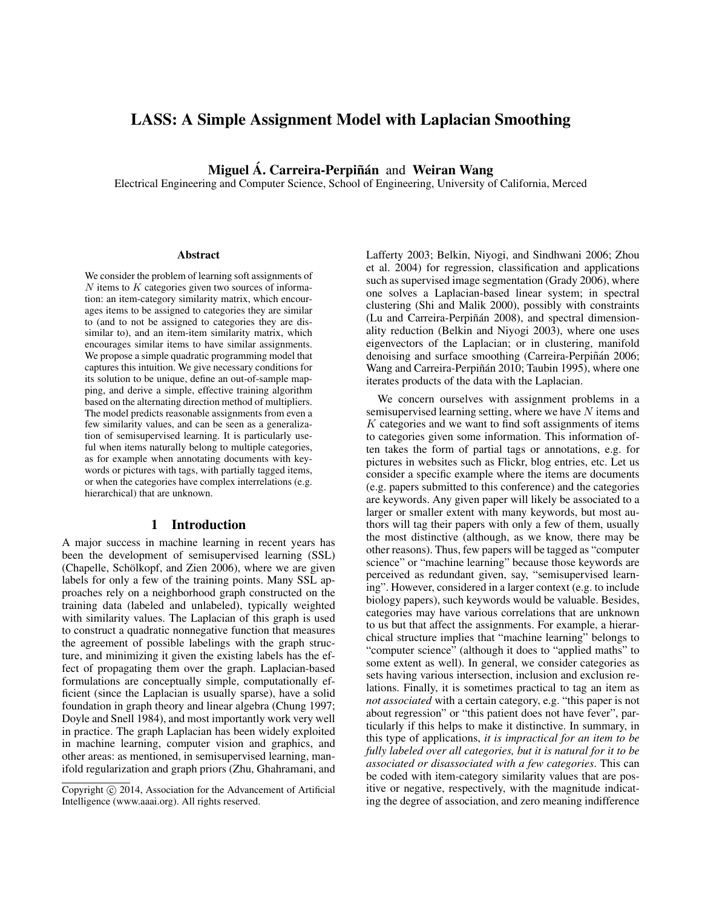# **LASS: A Simple Assignment Model with Laplacian Smoothing**

**Miguel Á. Carreira-Perpiñán** and Weiran Wang

Electrical Engineering and Computer Science, School of Engineering, University of California, Merced

#### **Abstract**

We consider the problem of learning soft assignments of  $N$  items to  $K$  categories given two sources of information: an item-category similarity matrix, which encourages items to be assigned to categories they are similar to (and to not be assigned to categories they are dissimilar to), and an item-item similarity matrix, which encourages similar items to have similar assignments. We propose a simple quadratic programming model that captures this intuition. We give necessary conditions for its solution to be unique, define an out-of-sample mapping, and derive a simple, effective training algorithm based on the alternating direction method of multipliers. The model predicts reasonable assignments from even a few similarity values, and can be seen as a generalization of semisupervised learning. It is particularly useful when items naturally belong to multiple categories, as for example when annotating documents with keywords or pictures with tags, with partially tagged items, or when the categories have complex interrelations (e.g. hierarchical) that are unknown.

### **1 Introduction**

A major success in machine learning in recent years has been the development of semisupervised learning (SSL) (Chapelle, Schölkopf, and Zien 2006), where we are given labels for only a few of the training points. Many SSL approaches rely on a neighborhood graph constructed on the training data (labeled and unlabeled), typically weighted with similarity values. The Laplacian of this graph is used to construct a quadratic nonnegative function that measures the agreement of possible labelings with the graph structure, and minimizing it given the existing labels has the effect of propagating them over the graph. Laplacian-based formulations are conceptually simple, computationally efficient (since the Laplacian is usually sparse), have a solid foundation in graph theory and linear algebra (Chung 1997; Doyle and Snell 1984), and most importantly work very well in practice. The graph Laplacian has been widely exploited in machine learning, computer vision and graphics, and other areas: as mentioned, in semisupervised learning, manifold regularization and graph priors (Zhu, Ghahramani, and Lafferty 2003; Belkin, Niyogi, and Sindhwani 2006; Zhou et al. 2004) for regression, classification and applications such as supervised image segmentation (Grady 2006), where one solves a Laplacian-based linear system; in spectral clustering (Shi and Malik 2000), possibly with constraints (Lu and Carreira-Perpiñán 2008), and spectral dimensionality reduction (Belkin and Niyogi 2003), where one uses eigenvectors of the Laplacian; or in clustering, manifold denoising and surface smoothing (Carreira-Perpiñán 2006; Wang and Carreira-Perpiñán 2010; Taubin 1995), where one iterates products of the data with the Laplacian.

We concern ourselves with assignment problems in a semisupervised learning setting, where we have N items and  $K$  categories and we want to find soft assignments of items to categories given some information. This information often takes the form of partial tags or annotations, e.g. for pictures in websites such as Flickr, blog entries, etc. Let us consider a specific example where the items are documents (e.g. papers submitted to this conference) and the categories are keywords. Any given paper will likely be associated to a larger or smaller extent with many keywords, but most authors will tag their papers with only a few of them, usually the most distinctive (although, as we know, there may be other reasons). Thus, few papers will be tagged as "computer science" or "machine learning" because those keywords are perceived as redundant given, say, "semisupervised learning". However, considered in a larger context (e.g. to include biology papers), such keywords would be valuable. Besides, categories may have various correlations that are unknown to us but that affect the assignments. For example, a hierarchical structure implies that "machine learning" belongs to "computer science" (although it does to "applied maths" to some extent as well). In general, we consider categories as sets having various intersection, inclusion and exclusion relations. Finally, it is sometimes practical to tag an item as *not associated* with a certain category, e.g. "this paper is not about regression" or "this patient does not have fever", particularly if this helps to make it distinctive. In summary, in this type of applications, *it is impractical for an item to be fully labeled over all categories, but it is natural for it to be associated or disassociated with a few categories*. This can be coded with item-category similarity values that are positive or negative, respectively, with the magnitude indicating the degree of association, and zero meaning indifference

Copyright (c) 2014, Association for the Advancement of Artificial Intelligence (www.aaai.org). All rights reserved.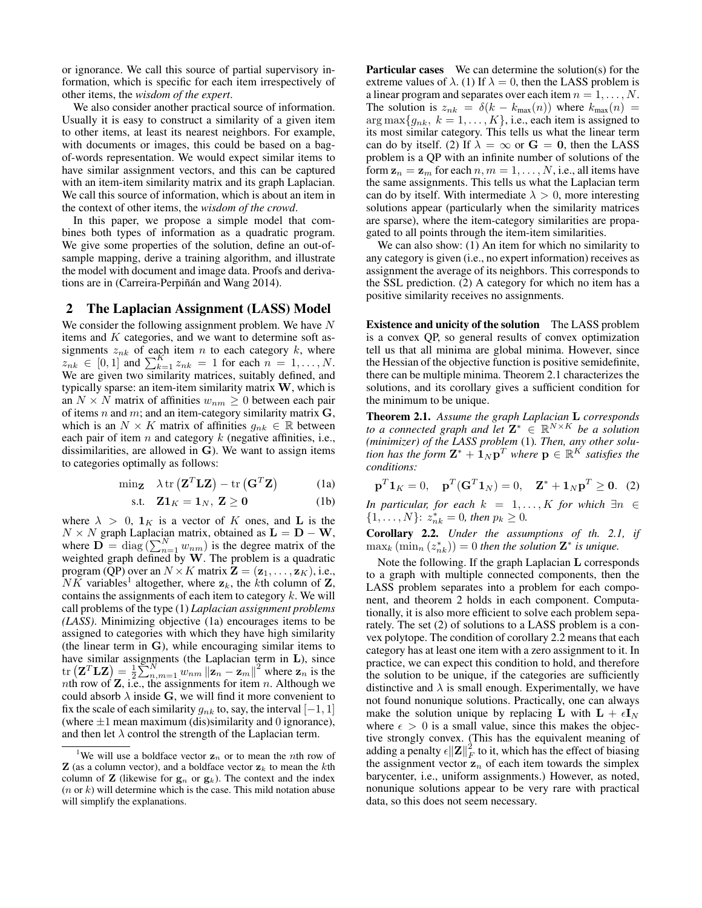or ignorance. We call this source of partial supervisory information, which is specific for each item irrespectively of other items, the *wisdom of the expert*.

We also consider another practical source of information. Usually it is easy to construct a similarity of a given item to other items, at least its nearest neighbors. For example, with documents or images, this could be based on a bagof-words representation. We would expect similar items to have similar assignment vectors, and this can be captured with an item-item similarity matrix and its graph Laplacian. We call this source of information, which is about an item in the context of other items, the *wisdom of the crowd*.

In this paper, we propose a simple model that combines both types of information as a quadratic program. We give some properties of the solution, define an out-ofsample mapping, derive a training algorithm, and illustrate the model with document and image data. Proofs and derivations are in (Carreira-Perpiñán and Wang 2014).

# **2 The Laplacian Assignment (LASS) Model**

We consider the following assignment problem. We have  $N$ items and K categories, and we want to determine soft assignments  $z_{nk}$  of each item n to each category k, where  $z_{nk} \in [0,1]$  and  $\sum_{k=1}^{K} z_{nk} = 1$  for each  $n = 1, ..., N$ . We are given two similarity matrices, suitably defined, and typically sparse: an item-item similarity matrix  $W$ , which is an  $N \times N$  matrix of affinities  $w_{nm} \geq 0$  between each pair of items n and m; and an item-category similarity matrix  $G$ , which is an  $N \times K$  matrix of affinities  $g_{nk} \in \mathbb{R}$  between each pair of item n and category  $k$  (negative affinities, i.e., dissimilarities, are allowed in **). We want to assign items** to categories optimally as follows:

$$
\min_{\mathbf{Z}} \quad \lambda \operatorname{tr} \left( \mathbf{Z}^T \mathbf{L} \mathbf{Z} \right) - \operatorname{tr} \left( \mathbf{G}^T \mathbf{Z} \right) \tag{1a}
$$

$$
\text{s.t.} \quad \mathbf{Z}\mathbf{1}_K = \mathbf{1}_N, \ \mathbf{Z} \ge \mathbf{0} \tag{1b}
$$

where  $\lambda > 0$ ,  $\mathbf{1}_K$  is a vector of K ones, and **L** is the  $N \times N$  graph Laplacian matrix, obtained as  $\mathbf{L} = \mathbf{D} - \mathbf{W}$ , where  $\overline{\mathbf{D}} = \text{diag}\left(\sum_{n=1}^{N} w_{nm}\right)$  is the degree matrix of the weighted graph defined by  $W$ . The problem is a quadratic program (QP) over an  $N \times K$  matrix  $\mathbf{Z} = (\mathbf{z}_1, \dots, \mathbf{z}_K)$ , i.e.,  $\overline{NK}$  variables<sup>1</sup> altogether, where  $z_k$ , the *k*th column of **Z**, contains the assignments of each item to category  $k$ . We will call problems of the type (1) *Laplacian assignment problems (LASS)*. Minimizing objective (1a) encourages items to be assigned to categories with which they have high similarity (the linear term in G), while encouraging similar items to have similar assignments (the Laplacian term in L), since  $\text{tr}\left(\mathbf{Z}^T\mathbf{L}\mathbf{Z}\right) = \frac{1}{2}\sum_{n,m=1}^{N} w_{nm} \left\|\mathbf{z}_n - \mathbf{z}_m\right\|^2$  where  $\mathbf{z}_n$  is the nth row of  $Z$ , i.e., the assignments for item n. Although we could absorb  $\lambda$  inside G, we will find it more convenient to fix the scale of each similarity  $g_{nk}$  to, say, the interval  $[-1, 1]$ (where  $\pm 1$  mean maximum (dis)similarity and 0 ignorance), and then let  $\lambda$  control the strength of the Laplacian term.

**Particular cases** We can determine the solution(s) for the extreme values of  $\lambda$ . (1) If  $\lambda = 0$ , then the LASS problem is a linear program and separates over each item  $n = 1, \ldots, N$ . The solution is  $z_{nk} = \delta(k - k_{max}(n))$  where  $k_{max}(n)$  =  $\arg \max \{g_{nk}, k = 1, ..., K\},$  i.e., each item is assigned to its most similar category. This tells us what the linear term can do by itself. (2) If  $\lambda = \infty$  or  $G = 0$ , then the LASS problem is a QP with an infinite number of solutions of the form  $z_n = z_m$  for each  $n, m = 1, ..., N$ , i.e., all items have the same assignments. This tells us what the Laplacian term can do by itself. With intermediate  $\lambda > 0$ , more interesting solutions appear (particularly when the similarity matrices are sparse), where the item-category similarities are propagated to all points through the item-item similarities.

We can also show: (1) An item for which no similarity to any category is given (i.e., no expert information) receives as assignment the average of its neighbors. This corresponds to the SSL prediction. (2) A category for which no item has a positive similarity receives no assignments.

**Existence and unicity of the solution** The LASS problem is a convex QP, so general results of convex optimization tell us that all minima are global minima. However, since the Hessian of the objective function is positive semidefinite, there can be multiple minima. Theorem 2.1 characterizes the solutions, and its corollary gives a sufficient condition for the minimum to be unique.

**Theorem 2.1.** *Assume the graph Laplacian* L *corresponds to a connected graph and let*  $\mathbf{Z}^* \in \mathbb{R}^{N \times K}$  *be a solution (minimizer) of the LASS problem* (1)*. Then, any other solu*tion has the form  $\mathbf{Z}^* + \mathbf{1}_N \mathbf{p}^T$  where  $\mathbf{p} \in \mathbb{R}^{K}$  satisfies the *conditions:*

$$
\mathbf{p}^T \mathbf{1}_K = 0
$$
,  $\mathbf{p}^T (\mathbf{G}^T \mathbf{1}_N) = 0$ ,  $\mathbf{Z}^* + \mathbf{1}_N \mathbf{p}^T \geq 0$ . (2)

*In particular, for each*  $k = 1, ..., K$  *for which*  $\exists n \in$  $\{1, \ldots, N\}$ :  $z_{nk}^* = 0$ , then  $p_k \geq 0$ .

**Corollary 2.2.** *Under the assumptions of th. 2.1, if*  $\max_k \left( \min_n \left( z_{nk}^* \right) \right) = 0$  then the solution  $\mathbf{Z}^*$  is unique.

Note the following. If the graph Laplacian L corresponds to a graph with multiple connected components, then the LASS problem separates into a problem for each component, and theorem 2 holds in each component. Computationally, it is also more efficient to solve each problem separately. The set (2) of solutions to a LASS problem is a convex polytope. The condition of corollary 2.2 means that each category has at least one item with a zero assignment to it. In practice, we can expect this condition to hold, and therefore the solution to be unique, if the categories are sufficiently distinctive and  $\lambda$  is small enough. Experimentally, we have not found nonunique solutions. Practically, one can always make the solution unique by replacing **L** with  $\mathbf{L} + \epsilon \mathbf{I}_N$ where  $\epsilon > 0$  is a small value, since this makes the objective strongly convex. (This has the equivalent meaning of adding a penalty  $\epsilon ||\mathbf{Z}||_F^2$  to it, which has the effect of biasing the assignment vector  $z_n$  of each item towards the simplex barycenter, i.e., uniform assignments.) However, as noted, nonunique solutions appear to be very rare with practical data, so this does not seem necessary.

<sup>&</sup>lt;sup>1</sup>We will use a boldface vector  $z_n$  or to mean the *n*th row of **Z** (as a column vector), and a boldface vector  $z_k$  to mean the kth column of **Z** (likewise for  $\mathbf{g}_n$  or  $\mathbf{g}_k$ ). The context and the index  $(n \text{ or } k)$  will determine which is the case. This mild notation abuse will simplify the explanations.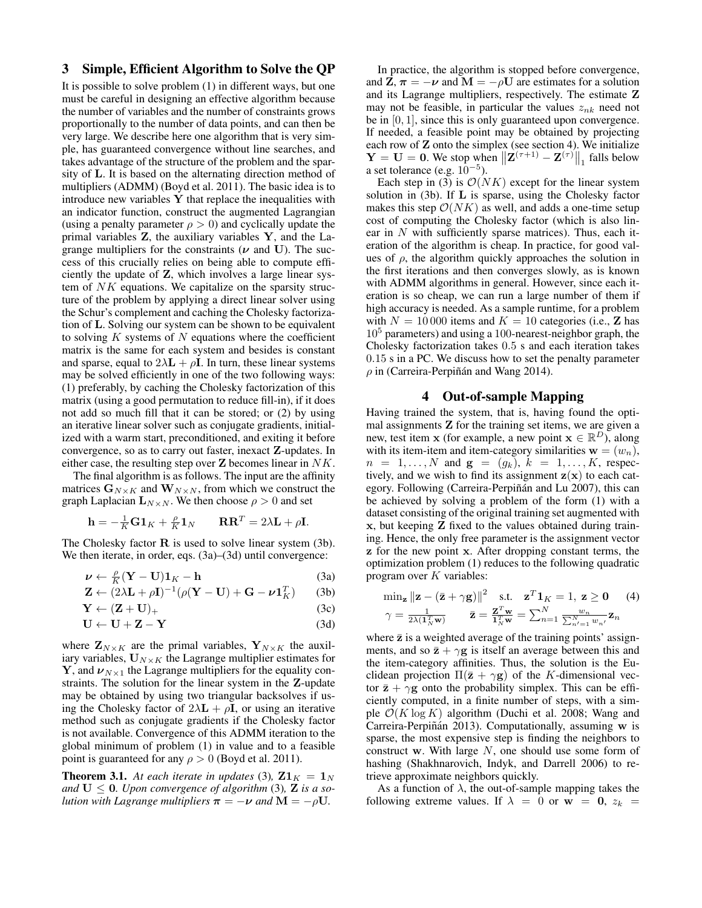# **3 Simple, Efficient Algorithm to Solve the QP**

It is possible to solve problem (1) in different ways, but one must be careful in designing an effective algorithm because the number of variables and the number of constraints grows proportionally to the number of data points, and can then be very large. We describe here one algorithm that is very simple, has guaranteed convergence without line searches, and takes advantage of the structure of the problem and the sparsity of L. It is based on the alternating direction method of multipliers (ADMM) (Boyd et al. 2011). The basic idea is to introduce new variables  $Y$  that replace the inequalities with an indicator function, construct the augmented Lagrangian (using a penalty parameter  $\rho > 0$ ) and cyclically update the primal variables  $Z$ , the auxiliary variables  $Y$ , and the Lagrange multipliers for the constraints ( $\nu$  and U). The success of this crucially relies on being able to compute efficiently the update of Z, which involves a large linear system of NK equations. We capitalize on the sparsity structure of the problem by applying a direct linear solver using the Schur's complement and caching the Cholesky factorization of L. Solving our system can be shown to be equivalent to solving  $K$  systems of  $N$  equations where the coefficient matrix is the same for each system and besides is constant and sparse, equal to  $2\lambda \mathbf{L} + \rho \mathbf{I}$ . In turn, these linear systems may be solved efficiently in one of the two following ways: (1) preferably, by caching the Cholesky factorization of this matrix (using a good permutation to reduce fill-in), if it does not add so much fill that it can be stored; or (2) by using an iterative linear solver such as conjugate gradients, initialized with a warm start, preconditioned, and exiting it before convergence, so as to carry out faster, inexact Z-updates. In either case, the resulting step over  $\bf{Z}$  becomes linear in  $NK$ .

The final algorithm is as follows. The input are the affinity matrices  $G_{N\times K}$  and  $W_{N\times N}$ , from which we construct the graph Laplacian  $L_{N\times N}$ . We then choose  $\rho > 0$  and set

$$
\mathbf{h} = -\frac{1}{K}\mathbf{G}\mathbf{1}_K + \frac{\rho}{K}\mathbf{1}_N \qquad \mathbf{R}\mathbf{R}^T = 2\lambda\mathbf{L} + \rho\mathbf{I}.
$$

The Cholesky factor  $R$  is used to solve linear system  $(3b)$ . We then iterate, in order, eqs.  $(3a)$ – $(3d)$  until convergence:

$$
\nu \leftarrow \frac{\rho}{K} (\mathbf{Y} - \mathbf{U}) \mathbf{1}_K - \mathbf{h}
$$
 (3a)

$$
\mathbf{Z} \leftarrow (\mathbf{2}\lambda \mathbf{L} + \rho \mathbf{I})^{-1} (\rho (\mathbf{Y} - \mathbf{U}) + \mathbf{G} - \nu \mathbf{1}_K^T) \qquad (3b)
$$

$$
\mathbf{Y} \leftarrow (\mathbf{Z} + \mathbf{U})_+ \tag{3c}
$$

$$
U \leftarrow U + Z - Y \tag{3d}
$$

where  $\mathbf{Z}_{N\times K}$  are the primal variables,  $\mathbf{Y}_{N\times K}$  the auxiliary variables,  $U_{N\times K}$  the Lagrange multiplier estimates for **Y**, and  $\nu_{N\times1}$  the Lagrange multipliers for the equality constraints. The solution for the linear system in the Z-update may be obtained by using two triangular backsolves if using the Cholesky factor of  $2\lambda \mathbf{L} + \rho \mathbf{I}$ , or using an iterative method such as conjugate gradients if the Cholesky factor is not available. Convergence of this ADMM iteration to the global minimum of problem (1) in value and to a feasible point is guaranteed for any  $\rho > 0$  (Boyd et al. 2011).

**Theorem 3.1.** At each iterate in updates (3),  $\mathbf{Z1}_K = \mathbf{1}_N$ and  $U \leq 0$ . Upon convergence of algorithm (3), **Z** is a so*lution with Lagrange multipliers*  $\pi = -\nu$  *and*  $M = -\rho U$ .

In practice, the algorithm is stopped before convergence, and  $\mathbf{Z}, \boldsymbol{\pi} = -\boldsymbol{\nu}$  and  $\mathbf{M} = -\rho \mathbf{U}$  are estimates for a solution and its Lagrange multipliers, respectively. The estimate Z may not be feasible, in particular the values  $z_{nk}$  need not be in [0, 1], since this is only guaranteed upon convergence. If needed, a feasible point may be obtained by projecting each row of **Z** onto the simplex (see section 4). We initialize  $\mathbf{Y} = \mathbf{U} = \mathbf{0}$ . We stop when  $\|\mathbf{Z}^{(\tau+1)} - \mathbf{Z}^{(\tau)}\|_1$  falls below a set tolerance (e.g.  $10^{-5}$ ).

Each step in (3) is  $\mathcal{O}(NK)$  except for the linear system solution in (3b). If L is sparse, using the Cholesky factor makes this step  $\mathcal{O}(NK)$  as well, and adds a one-time setup cost of computing the Cholesky factor (which is also linear in  $N$  with sufficiently sparse matrices). Thus, each iteration of the algorithm is cheap. In practice, for good values of  $\rho$ , the algorithm quickly approaches the solution in the first iterations and then converges slowly, as is known with ADMM algorithms in general. However, since each iteration is so cheap, we can run a large number of them if high accuracy is needed. As a sample runtime, for a problem with  $N = 10000$  items and  $K = 10$  categories (i.e., **Z** has  $10<sup>5</sup>$  parameters) and using a 100-nearest-neighbor graph, the Cholesky factorization takes 0.5 s and each iteration takes 0.15 s in a PC. We discuss how to set the penalty parameter  $\rho$  in (Carreira-Perpiñán and Wang 2014).

### **4 Out-of-sample Mapping**

Having trained the system, that is, having found the optimal assignments  $Z$  for the training set items, we are given a new, test item x (for example, a new point  $\mathbf{x} \in \mathbb{R}^D$ ), along with its item-item and item-category similarities  $\mathbf{w} = (w_n)$ ,  $n = 1, ..., N$  and  $g = (g_k), k = 1, ..., K$ , respectively, and we wish to find its assignment  $z(x)$  to each category. Following (Carreira-Perpiñán and Lu 2007), this can be achieved by solving a problem of the form (1) with a dataset consisting of the original training set augmented with x, but keeping Z fixed to the values obtained during training. Hence, the only free parameter is the assignment vector z for the new point x. After dropping constant terms, the optimization problem (1) reduces to the following quadratic program over  $K$  variables:

$$
\min_{\mathbf{z}} \|\mathbf{z} - (\bar{\mathbf{z}} + \gamma \mathbf{g})\|^2 \quad \text{s.t.} \quad \mathbf{z}^T \mathbf{1}_K = 1, \ \mathbf{z} \ge \mathbf{0} \tag{4}
$$
\n
$$
\gamma = \frac{1}{2\lambda(\mathbf{1}_N^T \mathbf{w})} \qquad \bar{\mathbf{z}} = \frac{\mathbf{z}^T \mathbf{w}}{\mathbf{1}_N^T \mathbf{w}} = \sum_{n=1}^N \frac{w_n}{\sum_{n'=1}^N w_{n'}} \mathbf{z}_n
$$

where  $\bar{z}$  is a weighted average of the training points' assignments, and so  $\bar{z} + \gamma g$  is itself an average between this and the item-category affinities. Thus, the solution is the Euclidean projection  $\Pi(\bar{z} + \gamma g)$  of the K-dimensional vector  $\bar{z} + \gamma g$  onto the probability simplex. This can be efficiently computed, in a finite number of steps, with a simple  $\mathcal{O}(K \log K)$  algorithm (Duchi et al. 2008; Wang and Carreira-Perpiñán 2013). Computationally, assuming w is sparse, the most expensive step is finding the neighbors to construct w. With large  $N$ , one should use some form of hashing (Shakhnarovich, Indyk, and Darrell 2006) to retrieve approximate neighbors quickly.

As a function of  $\lambda$ , the out-of-sample mapping takes the following extreme values. If  $\lambda = 0$  or  $w = 0$ ,  $z_k =$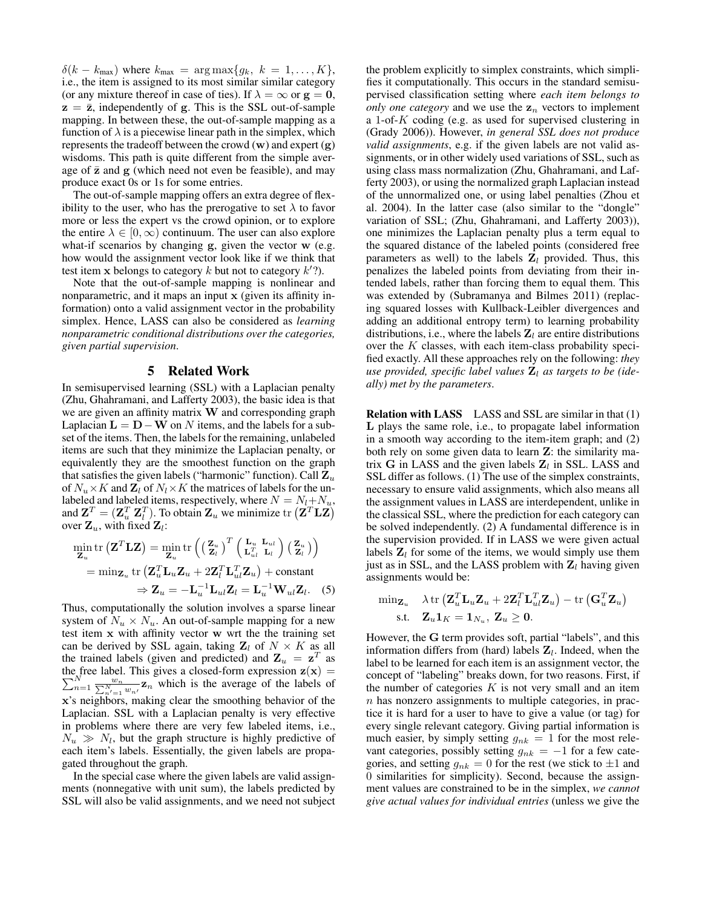$\delta(k - k_{\text{max}})$  where  $k_{\text{max}} = \arg \max\{g_k, k = 1, \ldots, K\},\$ i.e., the item is assigned to its most similar similar category (or any mixture thereof in case of ties). If  $\lambda = \infty$  or  $g = 0$ ,  $z = \bar{z}$ , independently of g. This is the SSL out-of-sample mapping. In between these, the out-of-sample mapping as a function of  $\lambda$  is a piecewise linear path in the simplex, which represents the tradeoff between the crowd  $(w)$  and expert  $(g)$ wisdoms. This path is quite different from the simple average of  $\bar{z}$  and  $g$  (which need not even be feasible), and may produce exact 0s or 1s for some entries.

The out-of-sample mapping offers an extra degree of flexibility to the user, who has the prerogative to set  $\lambda$  to favor more or less the expert vs the crowd opinion, or to explore the entire  $\lambda \in [0,\infty)$  continuum. The user can also explore what-if scenarios by changing g, given the vector w (e.g. how would the assignment vector look like if we think that test item x belongs to category k but not to category  $k$ <sup>'</sup>?).

Note that the out-of-sample mapping is nonlinear and nonparametric, and it maps an input x (given its affinity information) onto a valid assignment vector in the probability simplex. Hence, LASS can also be considered as *learning nonparametric conditional distributions over the categories, given partial supervision*.

# **5 Related Work**

In semisupervised learning (SSL) with a Laplacian penalty (Zhu, Ghahramani, and Lafferty 2003), the basic idea is that we are given an affinity matrix W and corresponding graph Laplacian  $\mathbf{L} = \mathbf{D} - \mathbf{W}$  on N items, and the labels for a subset of the items. Then, the labels for the remaining, unlabeled items are such that they minimize the Laplacian penalty, or equivalently they are the smoothest function on the graph that satisfies the given labels ("harmonic" function). Call  $\mathbf{Z}_u$ of  $N_u \times K$  and  $\mathbb{Z}_l$  of  $N_l \times K$  the matrices of labels for the unlabeled and labeled items, respectively, where  $N = N_l + N_u$ , and  $\mathbf{Z}^T = (\mathbf{Z}^T_u \ \mathbf{Z}^T_l)$ . To obtain  $\mathbf{Z}_u$  we minimize  $\mathrm{tr}\left(\mathbf{Z}^T \mathbf{L} \mathbf{Z}\right)$ over  $\mathbf{Z}_u$ , with fixed  $\mathbf{Z}_l$ :

$$
\min_{\mathbf{Z}_{u}} \text{tr}\left(\mathbf{Z}^{T} \mathbf{L} \mathbf{Z}\right) = \min_{\mathbf{Z}_{u}} \text{tr}\left(\left(\frac{\mathbf{Z}_{u}}{\mathbf{Z}_{l}}\right)^{T} \left(\frac{\mathbf{L}_{u}}{\mathbf{L}_{u}^{T}} \frac{\mathbf{L}_{ul}}{\mathbf{L}_{l}}\right) \left(\frac{\mathbf{Z}_{u}}{\mathbf{Z}_{l}}\right)\right)
$$
\n
$$
= \min_{\mathbf{Z}_{u}} \text{tr}\left(\mathbf{Z}_{u}^{T} \mathbf{L}_{u} \mathbf{Z}_{u} + 2\mathbf{Z}_{l}^{T} \mathbf{L}_{ul}^{T} \mathbf{Z}_{u}\right) + \text{constant}
$$
\n
$$
\Rightarrow \mathbf{Z}_{u} = -\mathbf{L}_{u}^{-1} \mathbf{L}_{ul} \mathbf{Z}_{l} = \mathbf{L}_{u}^{-1} \mathbf{W}_{ul} \mathbf{Z}_{l}.\tag{5}
$$

Thus, computationally the solution involves a sparse linear system of  $N_u \times N_u$ . An out-of-sample mapping for a new test item x with affinity vector w wrt the the training set can be derived by SSL again, taking  $\mathbf{Z}_l$  of  $N \times K$  as all the trained labels (given and predicted) and  $\mathbf{Z}_u = \mathbf{z}^T$  as the free label. This gives a closed-form expression  $z(x) =$ the free label. This gives a closed-form expression  $\mathbf{z}(\mathbf{x}) = \sum_{n=1}^{N} \frac{w_n}{\sum_{n'=1}^{N} w_{n'}} \mathbf{z}_n$  which is the average of the labels of x's neighbors, making clear the smoothing behavior of the Laplacian. SSL with a Laplacian penalty is very effective in problems where there are very few labeled items, i.e.,  $N_u \gg N_l$ , but the graph structure is highly predictive of each item's labels. Essentially, the given labels are propagated throughout the graph.

In the special case where the given labels are valid assignments (nonnegative with unit sum), the labels predicted by SSL will also be valid assignments, and we need not subject

the problem explicitly to simplex constraints, which simplifies it computationally. This occurs in the standard semisupervised classification setting where *each item belongs to only one category* and we use the  $z_n$  vectors to implement a 1-of-K coding (e.g. as used for supervised clustering in (Grady 2006)). However, *in general SSL does not produce valid assignments*, e.g. if the given labels are not valid assignments, or in other widely used variations of SSL, such as using class mass normalization (Zhu, Ghahramani, and Lafferty 2003), or using the normalized graph Laplacian instead of the unnormalized one, or using label penalties (Zhou et al. 2004). In the latter case (also similar to the "dongle" variation of SSL; (Zhu, Ghahramani, and Lafferty 2003)), one minimizes the Laplacian penalty plus a term equal to the squared distance of the labeled points (considered free parameters as well) to the labels  $\mathbf{Z}_l$  provided. Thus, this penalizes the labeled points from deviating from their intended labels, rather than forcing them to equal them. This was extended by (Subramanya and Bilmes 2011) (replacing squared losses with Kullback-Leibler divergences and adding an additional entropy term) to learning probability distributions, i.e., where the labels  $\mathbf{Z}_l$  are entire distributions over the  $K$  classes, with each item-class probability specified exactly. All these approaches rely on the following: *they* use provided, specific label values  $\mathbf{Z}_l$  as targets to be (ide*ally) met by the parameters*.

**Relation with LASS** LASS and SSL are similar in that (1) L plays the same role, i.e., to propagate label information in a smooth way according to the item-item graph; and (2) both rely on some given data to learn Z: the similarity matrix G in LASS and the given labels  $\mathbf{Z}_l$  in SSL. LASS and SSL differ as follows. (1) The use of the simplex constraints, necessary to ensure valid assignments, which also means all the assignment values in LASS are interdependent, unlike in the classical SSL, where the prediction for each category can be solved independently. (2) A fundamental difference is in the supervision provided. If in LASS we were given actual labels  $\mathbf{Z}_l$  for some of the items, we would simply use them just as in SSL, and the LASS problem with  $Z_l$  having given assignments would be:

$$
\begin{aligned} \min & \mathbf{z}_u \quad \lambda \operatorname{tr}\left(\mathbf{Z}_u^T \mathbf{L}_u \mathbf{Z}_u + 2 \mathbf{Z}_l^T \mathbf{L}_{ul}^T \mathbf{Z}_u\right) - \operatorname{tr}\left(\mathbf{G}_u^T \mathbf{Z}_u\right) \\ \text{s.t.} \quad \mathbf{Z}_u \mathbf{1}_K &= \mathbf{1}_{N_u}, \ \mathbf{Z}_u \geq \mathbf{0}. \end{aligned}
$$

However, the G term provides soft, partial "labels", and this information differs from (hard) labels  $\mathbf{Z}_l$ . Indeed, when the label to be learned for each item is an assignment vector, the concept of "labeling" breaks down, for two reasons. First, if the number of categories  $K$  is not very small and an item  $n$  has nonzero assignments to multiple categories, in practice it is hard for a user to have to give a value (or tag) for every single relevant category. Giving partial information is much easier, by simply setting  $g_{nk} = 1$  for the most relevant categories, possibly setting  $g_{nk} = -1$  for a few categories, and setting  $g_{nk} = 0$  for the rest (we stick to  $\pm 1$  and 0 similarities for simplicity). Second, because the assignment values are constrained to be in the simplex, *we cannot give actual values for individual entries* (unless we give the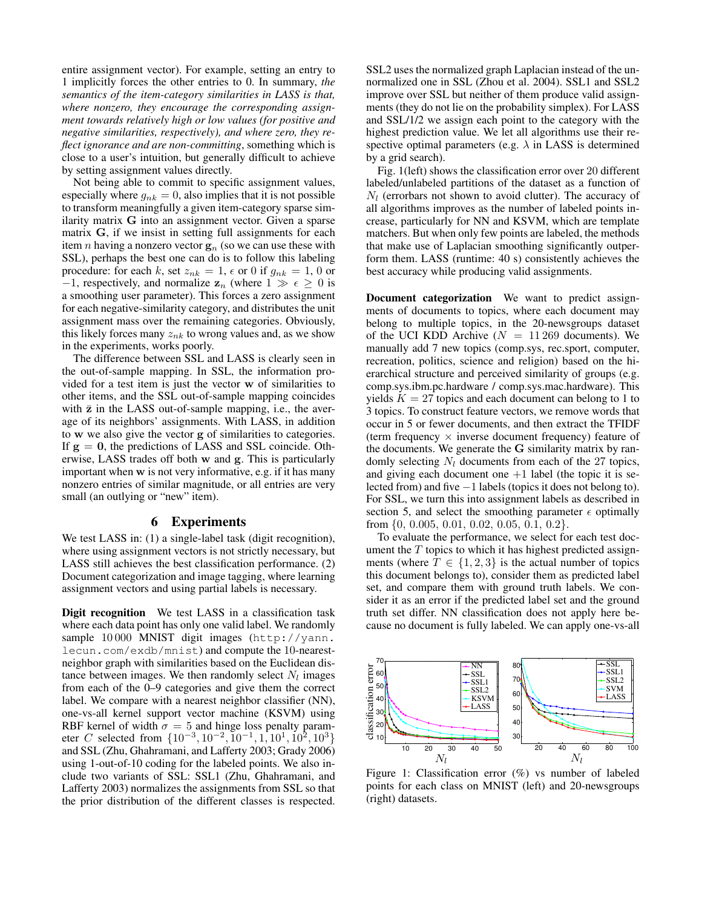entire assignment vector). For example, setting an entry to 1 implicitly forces the other entries to 0. In summary, *the semantics of the item-category similarities in LASS is that, where nonzero, they encourage the corresponding assignment towards relatively high or low values (for positive and negative similarities, respectively), and where zero, they reflect ignorance and are non-committing*, something which is close to a user's intuition, but generally difficult to achieve by setting assignment values directly.

Not being able to commit to specific assignment values, especially where  $g_{nk} = 0$ , also implies that it is not possible to transform meaningfully a given item-category sparse similarity matrix G into an assignment vector. Given a sparse matrix G, if we insist in setting full assignments for each item *n* having a nonzero vector  $\mathbf{g}_n$  (so we can use these with SSL), perhaps the best one can do is to follow this labeling procedure: for each k, set  $z_{nk} = 1$ ,  $\epsilon$  or 0 if  $g_{nk} = 1$ , 0 or −1, respectively, and normalize  $z_n$  (where  $1 \gg \epsilon \geq 0$  is a smoothing user parameter). This forces a zero assignment for each negative-similarity category, and distributes the unit assignment mass over the remaining categories. Obviously, this likely forces many  $z_{nk}$  to wrong values and, as we show in the experiments, works poorly.

The difference between SSL and LASS is clearly seen in the out-of-sample mapping. In SSL, the information provided for a test item is just the vector w of similarities to other items, and the SSL out-of-sample mapping coincides with  $\bar{z}$  in the LASS out-of-sample mapping, i.e., the average of its neighbors' assignments. With LASS, in addition to w we also give the vector g of similarities to categories. If  $g = 0$ , the predictions of LASS and SSL coincide. Otherwise, LASS trades off both w and g. This is particularly important when w is not very informative, e.g. if it has many nonzero entries of similar magnitude, or all entries are very small (an outlying or "new" item).

# **6 Experiments**

We test LASS in: (1) a single-label task (digit recognition), where using assignment vectors is not strictly necessary, but LASS still achieves the best classification performance. (2) Document categorization and image tagging, where learning assignment vectors and using partial labels is necessary.

**Digit recognition** We test LASS in a classification task where each data point has only one valid label. We randomly sample 10000 MNIST digit images (http://yann. lecun.com/exdb/mnist) and compute the 10-nearestneighbor graph with similarities based on the Euclidean distance between images. We then randomly select  $N_l$  images from each of the 0–9 categories and give them the correct label. We compare with a nearest neighbor classifier (NN), one-vs-all kernel support vector machine (KSVM) using RBF kernel of width  $\sigma = 5$  and hinge loss penalty parameter C selected from  $\{10^{-3}, 10^{-2}, 10^{-1}, 1, 10^{1}, 10^{2}, 10^{3}\}\$ and SSL (Zhu, Ghahramani, and Lafferty 2003; Grady 2006) using 1-out-of-10 coding for the labeled points. We also include two variants of SSL: SSL1 (Zhu, Ghahramani, and Lafferty 2003) normalizes the assignments from SSL so that the prior distribution of the different classes is respected.

SSL2 uses the normalized graph Laplacian instead of the unnormalized one in SSL (Zhou et al. 2004). SSL1 and SSL2 improve over SSL but neither of them produce valid assignments (they do not lie on the probability simplex). For LASS and SSL/1/2 we assign each point to the category with the highest prediction value. We let all algorithms use their respective optimal parameters (e.g.  $\lambda$  in LASS is determined by a grid search).

Fig. 1(left) shows the classification error over 20 different labeled/unlabeled partitions of the dataset as a function of  $N_l$  (errorbars not shown to avoid clutter). The accuracy of all algorithms improves as the number of labeled points increase, particularly for NN and KSVM, which are template matchers. But when only few points are labeled, the methods that make use of Laplacian smoothing significantly outperform them. LASS (runtime: 40 s) consistently achieves the best accuracy while producing valid assignments.

**Document categorization** We want to predict assignments of documents to topics, where each document may belong to multiple topics, in the 20-newsgroups dataset of the UCI KDD Archive ( $N = 11269$  documents). We manually add 7 new topics (comp.sys, rec.sport, computer, recreation, politics, science and religion) based on the hierarchical structure and perceived similarity of groups (e.g. comp.sys.ibm.pc.hardware / comp.sys.mac.hardware). This yields  $K = 27$  topics and each document can belong to 1 to 3 topics. To construct feature vectors, we remove words that occur in 5 or fewer documents, and then extract the TFIDF (term frequency  $\times$  inverse document frequency) feature of the documents. We generate the G similarity matrix by randomly selecting  $N_l$  documents from each of the 27 topics, and giving each document one  $+1$  label (the topic it is selected from) and five −1 labels (topics it does not belong to). For SSL, we turn this into assignment labels as described in section 5, and select the smoothing parameter  $\epsilon$  optimally from {0, 0.005, 0.01, 0.02, 0.05, 0.1, 0.2}.

To evaluate the performance, we select for each test document the  $T$  topics to which it has highest predicted assignments (where  $T \in \{1, 2, 3\}$  is the actual number of topics this document belongs to), consider them as predicted label set, and compare them with ground truth labels. We consider it as an error if the predicted label set and the ground truth set differ. NN classification does not apply here because no document is fully labeled. We can apply one-vs-all



Figure 1: Classification error (%) vs number of labeled points for each class on MNIST (left) and 20-newsgroups (right) datasets.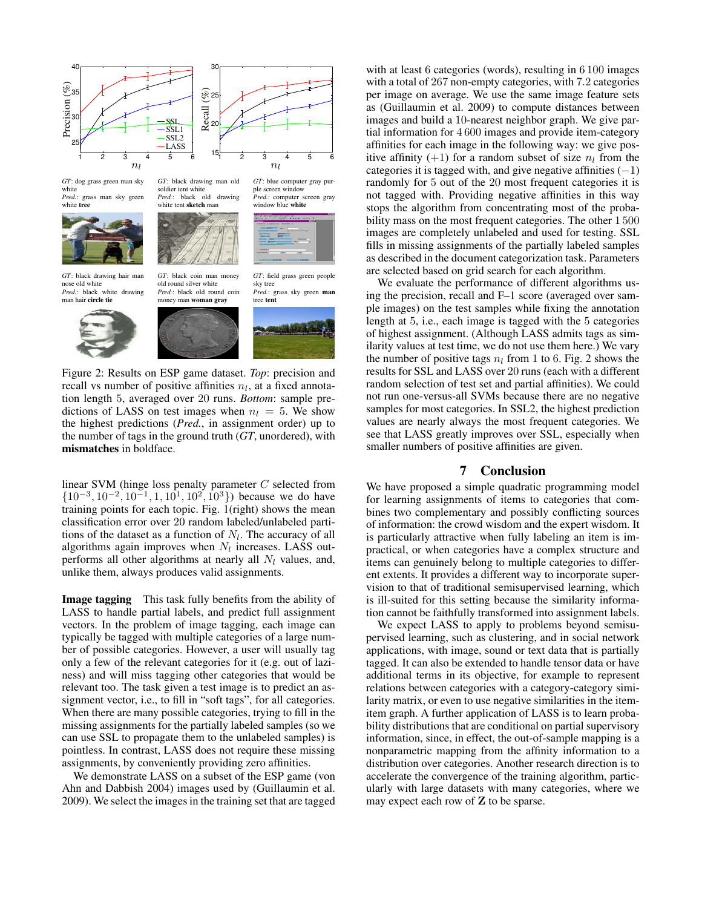

Figure 2: Results on ESP game dataset. *Top*: precision and recall vs number of positive affinities  $n_l$ , at a fixed annotation length 5, averaged over 20 runs. *Bottom*: sample predictions of LASS on test images when  $n_l = 5$ . We show the highest predictions (*Pred.*, in assignment order) up to the number of tags in the ground truth (*GT*, unordered), with **mismatches** in boldface.

linear SVM (hinge loss penalty parameter C selected from  $\{10^{-3}, 10^{-2}, 10^{-1}, 1, 10^{1}, 10^{2}, 10^{3}\}\)$  because we do have training points for each topic. Fig. 1(right) shows the mean classification error over 20 random labeled/unlabeled partitions of the dataset as a function of  $N_l$ . The accuracy of all algorithms again improves when  $N_l$  increases. LASS outperforms all other algorithms at nearly all  $N_l$  values, and, unlike them, always produces valid assignments.

**Image tagging** This task fully benefits from the ability of LASS to handle partial labels, and predict full assignment vectors. In the problem of image tagging, each image can typically be tagged with multiple categories of a large number of possible categories. However, a user will usually tag only a few of the relevant categories for it (e.g. out of laziness) and will miss tagging other categories that would be relevant too. The task given a test image is to predict an assignment vector, i.e., to fill in "soft tags", for all categories. When there are many possible categories, trying to fill in the missing assignments for the partially labeled samples (so we can use SSL to propagate them to the unlabeled samples) is pointless. In contrast, LASS does not require these missing assignments, by conveniently providing zero affinities.

We demonstrate LASS on a subset of the ESP game (von Ahn and Dabbish 2004) images used by (Guillaumin et al. 2009). We select the images in the training set that are tagged

with at least 6 categories (words), resulting in 6 100 images with a total of 267 non-empty categories, with 7.2 categories per image on average. We use the same image feature sets as (Guillaumin et al. 2009) to compute distances between images and build a 10-nearest neighbor graph. We give partial information for 4 600 images and provide item-category affinities for each image in the following way: we give positive affinity (+1) for a random subset of size  $n_l$  from the categories it is tagged with, and give negative affinities  $(-1)$ randomly for 5 out of the 20 most frequent categories it is not tagged with. Providing negative affinities in this way stops the algorithm from concentrating most of the probability mass on the most frequent categories. The other 1 500 images are completely unlabeled and used for testing. SSL fills in missing assignments of the partially labeled samples as described in the document categorization task. Parameters are selected based on grid search for each algorithm.

We evaluate the performance of different algorithms using the precision, recall and F–1 score (averaged over sample images) on the test samples while fixing the annotation length at 5, i.e., each image is tagged with the 5 categories of highest assignment. (Although LASS admits tags as similarity values at test time, we do not use them here.) We vary the number of positive tags  $n_l$  from 1 to 6. Fig. 2 shows the results for SSL and LASS over 20 runs (each with a different random selection of test set and partial affinities). We could not run one-versus-all SVMs because there are no negative samples for most categories. In SSL2, the highest prediction values are nearly always the most frequent categories. We see that LASS greatly improves over SSL, especially when smaller numbers of positive affinities are given.

# **7 Conclusion**

We have proposed a simple quadratic programming model for learning assignments of items to categories that combines two complementary and possibly conflicting sources of information: the crowd wisdom and the expert wisdom. It is particularly attractive when fully labeling an item is impractical, or when categories have a complex structure and items can genuinely belong to multiple categories to different extents. It provides a different way to incorporate supervision to that of traditional semisupervised learning, which is ill-suited for this setting because the similarity information cannot be faithfully transformed into assignment labels.

We expect LASS to apply to problems beyond semisupervised learning, such as clustering, and in social network applications, with image, sound or text data that is partially tagged. It can also be extended to handle tensor data or have additional terms in its objective, for example to represent relations between categories with a category-category similarity matrix, or even to use negative similarities in the itemitem graph. A further application of LASS is to learn probability distributions that are conditional on partial supervisory information, since, in effect, the out-of-sample mapping is a nonparametric mapping from the affinity information to a distribution over categories. Another research direction is to accelerate the convergence of the training algorithm, particularly with large datasets with many categories, where we may expect each row of Z to be sparse.